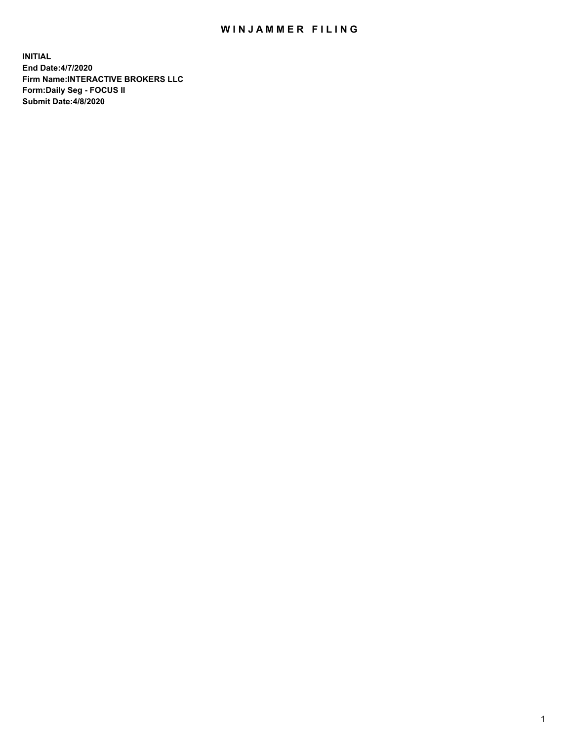## WIN JAMMER FILING

**INITIAL End Date:4/7/2020 Firm Name:INTERACTIVE BROKERS LLC Form:Daily Seg - FOCUS II Submit Date:4/8/2020**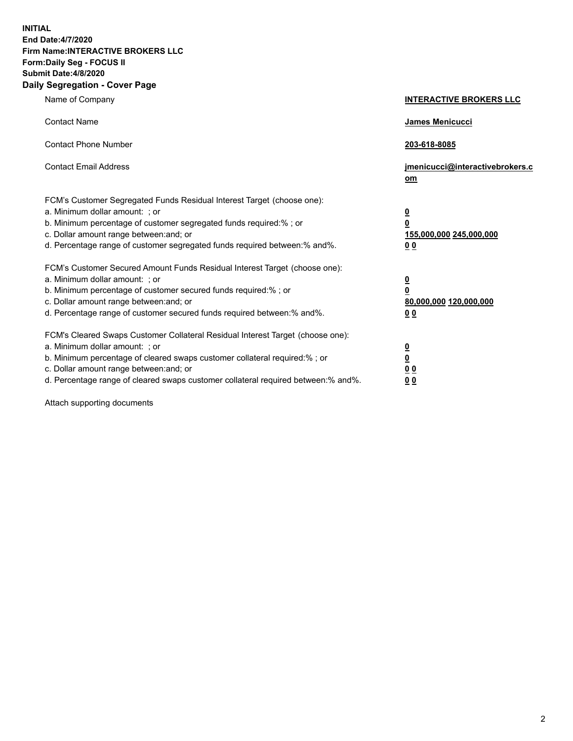**INITIAL End Date:4/7/2020 Firm Name:INTERACTIVE BROKERS LLC Form:Daily Seg - FOCUS II Submit Date:4/8/2020 Daily Segregation - Cover Page**

| Name of Company                                                                                                                                                                                                                                                                                                                | <b>INTERACTIVE BROKERS LLC</b>                                                                  |
|--------------------------------------------------------------------------------------------------------------------------------------------------------------------------------------------------------------------------------------------------------------------------------------------------------------------------------|-------------------------------------------------------------------------------------------------|
| <b>Contact Name</b>                                                                                                                                                                                                                                                                                                            | <b>James Menicucci</b>                                                                          |
| <b>Contact Phone Number</b>                                                                                                                                                                                                                                                                                                    | 203-618-8085                                                                                    |
| <b>Contact Email Address</b>                                                                                                                                                                                                                                                                                                   | jmenicucci@interactivebrokers.c<br>om                                                           |
| FCM's Customer Segregated Funds Residual Interest Target (choose one):<br>a. Minimum dollar amount: ; or<br>b. Minimum percentage of customer segregated funds required:% ; or<br>c. Dollar amount range between: and; or<br>d. Percentage range of customer segregated funds required between: % and %.                       | $\overline{\mathbf{0}}$<br>$\overline{\mathbf{0}}$<br>155,000,000 245,000,000<br>0 <sub>0</sub> |
| FCM's Customer Secured Amount Funds Residual Interest Target (choose one):<br>a. Minimum dollar amount: ; or<br>b. Minimum percentage of customer secured funds required:% ; or<br>c. Dollar amount range between: and; or<br>d. Percentage range of customer secured funds required between:% and%.                           | $\overline{\mathbf{0}}$<br>$\overline{\mathbf{0}}$<br>80,000,000 120,000,000<br>00              |
| FCM's Cleared Swaps Customer Collateral Residual Interest Target (choose one):<br>a. Minimum dollar amount: ; or<br>b. Minimum percentage of cleared swaps customer collateral required:% ; or<br>c. Dollar amount range between: and; or<br>d. Percentage range of cleared swaps customer collateral required between:% and%. | $\overline{\mathbf{0}}$<br>$\underline{\mathbf{0}}$<br>0 <sub>0</sub><br>0 <sub>0</sub>         |

Attach supporting documents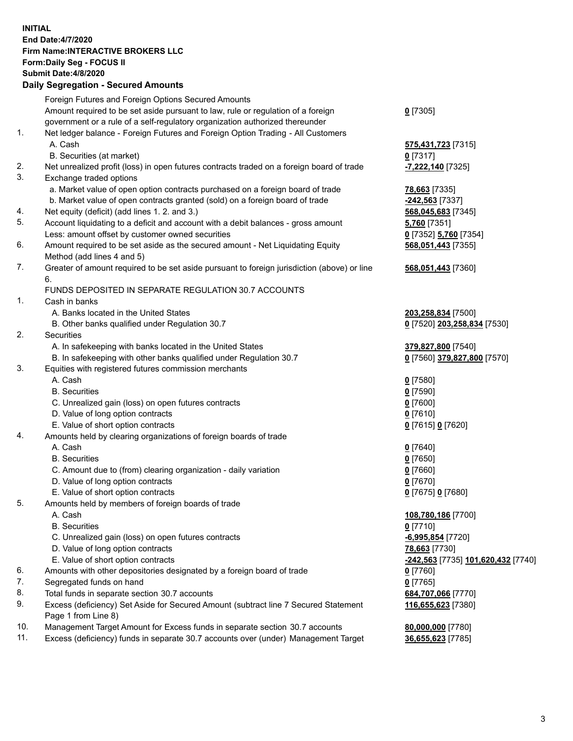## **INITIAL End Date:4/7/2020 Firm Name:INTERACTIVE BROKERS LLC Form:Daily Seg - FOCUS II Submit Date:4/8/2020 Daily Segregation - Secured Amounts**

|     | Dany Ocgregation - Oceaned Amounts                                                          |                                    |
|-----|---------------------------------------------------------------------------------------------|------------------------------------|
|     | Foreign Futures and Foreign Options Secured Amounts                                         |                                    |
|     | Amount required to be set aside pursuant to law, rule or regulation of a foreign            | $0$ [7305]                         |
|     | government or a rule of a self-regulatory organization authorized thereunder                |                                    |
| 1.  | Net ledger balance - Foreign Futures and Foreign Option Trading - All Customers             |                                    |
|     | A. Cash                                                                                     | 575,431,723 [7315]                 |
|     | B. Securities (at market)                                                                   | $0$ [7317]                         |
| 2.  | Net unrealized profit (loss) in open futures contracts traded on a foreign board of trade   | -7,222,140 [7325]                  |
| 3.  | Exchange traded options                                                                     |                                    |
|     | a. Market value of open option contracts purchased on a foreign board of trade              | <b>78,663</b> [7335]               |
|     | b. Market value of open contracts granted (sold) on a foreign board of trade                | -242,563 [7337]                    |
| 4.  | Net equity (deficit) (add lines 1. 2. and 3.)                                               | 568,045,683 [7345]                 |
| 5.  | Account liquidating to a deficit and account with a debit balances - gross amount           | <b>5,760</b> [7351]                |
|     | Less: amount offset by customer owned securities                                            | 0 [7352] 5,760 [7354]              |
| 6.  | Amount required to be set aside as the secured amount - Net Liquidating Equity              | 568,051,443 [7355]                 |
|     | Method (add lines 4 and 5)                                                                  |                                    |
| 7.  | Greater of amount required to be set aside pursuant to foreign jurisdiction (above) or line | 568,051,443 [7360]                 |
|     | 6.                                                                                          |                                    |
| 1.  | FUNDS DEPOSITED IN SEPARATE REGULATION 30.7 ACCOUNTS                                        |                                    |
|     | Cash in banks                                                                               |                                    |
|     | A. Banks located in the United States                                                       | 203,258,834 [7500]                 |
|     | B. Other banks qualified under Regulation 30.7                                              | 0 [7520] 203,258,834 [7530]        |
| 2.  | Securities                                                                                  |                                    |
|     | A. In safekeeping with banks located in the United States                                   | 379,827,800 [7540]                 |
| 3.  | B. In safekeeping with other banks qualified under Regulation 30.7                          | 0 [7560] 379,827,800 [7570]        |
|     | Equities with registered futures commission merchants<br>A. Cash                            |                                    |
|     | <b>B.</b> Securities                                                                        | $0$ [7580]                         |
|     | C. Unrealized gain (loss) on open futures contracts                                         | $0$ [7590]<br>$0$ [7600]           |
|     | D. Value of long option contracts                                                           | $0$ [7610]                         |
|     | E. Value of short option contracts                                                          | 0 [7615] 0 [7620]                  |
| 4.  | Amounts held by clearing organizations of foreign boards of trade                           |                                    |
|     | A. Cash                                                                                     | $0$ [7640]                         |
|     | <b>B.</b> Securities                                                                        | $0$ [7650]                         |
|     | C. Amount due to (from) clearing organization - daily variation                             | $0$ [7660]                         |
|     | D. Value of long option contracts                                                           | $0$ [7670]                         |
|     | E. Value of short option contracts                                                          | 0 [7675] 0 [7680]                  |
| 5.  | Amounts held by members of foreign boards of trade                                          |                                    |
|     | A. Cash                                                                                     | 108,780,186 [7700]                 |
|     | <b>B.</b> Securities                                                                        | $0$ [7710]                         |
|     | C. Unrealized gain (loss) on open futures contracts                                         | $-6,995,854$ [7720]                |
|     | D. Value of long option contracts                                                           | 78,663 [7730]                      |
|     | E. Value of short option contracts                                                          | -242,563 [7735] 101,620,432 [7740] |
| 6.  | Amounts with other depositories designated by a foreign board of trade                      | $0$ [7760]                         |
| 7.  | Segregated funds on hand                                                                    | $0$ [7765]                         |
| 8.  | Total funds in separate section 30.7 accounts                                               | 684,707,066 [7770]                 |
| 9.  | Excess (deficiency) Set Aside for Secured Amount (subtract line 7 Secured Statement         | 116,655,623 [7380]                 |
|     | Page 1 from Line 8)                                                                         |                                    |
| 10. | Management Target Amount for Excess funds in separate section 30.7 accounts                 | 80,000,000 [7780]                  |
| 11. | Excess (deficiency) funds in separate 30.7 accounts over (under) Management Target          | 36,655,623 [7785]                  |
|     |                                                                                             |                                    |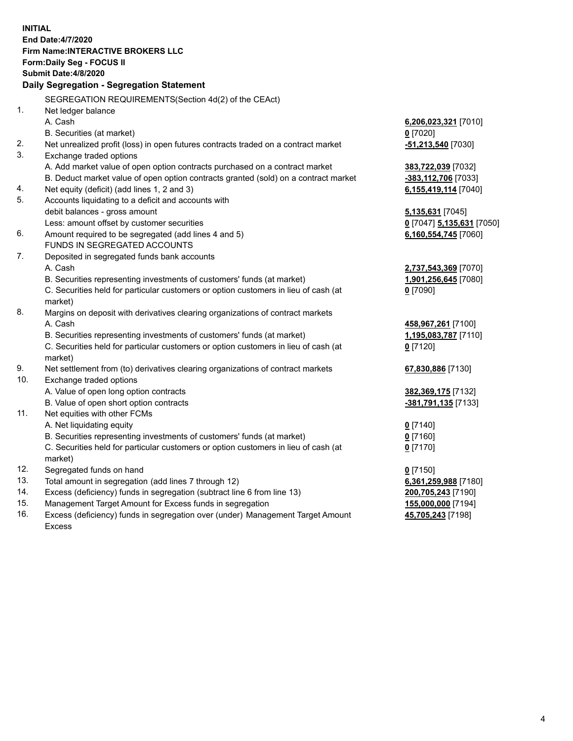**INITIAL End Date:4/7/2020 Firm Name:INTERACTIVE BROKERS LLC Form:Daily Seg - FOCUS II Submit Date:4/8/2020 Daily Segregation - Segregation Statement** SEGREGATION REQUIREMENTS(Section 4d(2) of the CEAct) 1. Net ledger balance A. Cash **6,206,023,321** [7010] B. Securities (at market) **0** [7020] 2. Net unrealized profit (loss) in open futures contracts traded on a contract market **-51,213,540** [7030] 3. Exchange traded options A. Add market value of open option contracts purchased on a contract market **383,722,039** [7032] B. Deduct market value of open option contracts granted (sold) on a contract market **-383,112,706** [7033] 4. Net equity (deficit) (add lines 1, 2 and 3) **6,155,419,114** [7040] 5. Accounts liquidating to a deficit and accounts with debit balances - gross amount **5,135,631** [7045] Less: amount offset by customer securities **0** [7047] **5,135,631** [7050] 6. Amount required to be segregated (add lines 4 and 5) **6,160,554,745** [7060] FUNDS IN SEGREGATED ACCOUNTS 7. Deposited in segregated funds bank accounts A. Cash **2,737,543,369** [7070] B. Securities representing investments of customers' funds (at market) **1,901,256,645** [7080] C. Securities held for particular customers or option customers in lieu of cash (at market) **0** [7090] 8. Margins on deposit with derivatives clearing organizations of contract markets A. Cash **458,967,261** [7100] B. Securities representing investments of customers' funds (at market) **1,195,083,787** [7110] C. Securities held for particular customers or option customers in lieu of cash (at market) **0** [7120] 9. Net settlement from (to) derivatives clearing organizations of contract markets **67,830,886** [7130] 10. Exchange traded options A. Value of open long option contracts **382,369,175** [7132] B. Value of open short option contracts **-381,791,135** [7133] 11. Net equities with other FCMs A. Net liquidating equity **0** [7140] B. Securities representing investments of customers' funds (at market) **0** [7160] C. Securities held for particular customers or option customers in lieu of cash (at market) **0** [7170] 12. Segregated funds on hand **0** [7150] 13. Total amount in segregation (add lines 7 through 12) **6,361,259,988** [7180] 14. Excess (deficiency) funds in segregation (subtract line 6 from line 13) **200,705,243** [7190] 15. Management Target Amount for Excess funds in segregation **155,000,000** [7194] 16. Excess (deficiency) funds in segregation over (under) Management Target Amount **45,705,243** [7198]

Excess